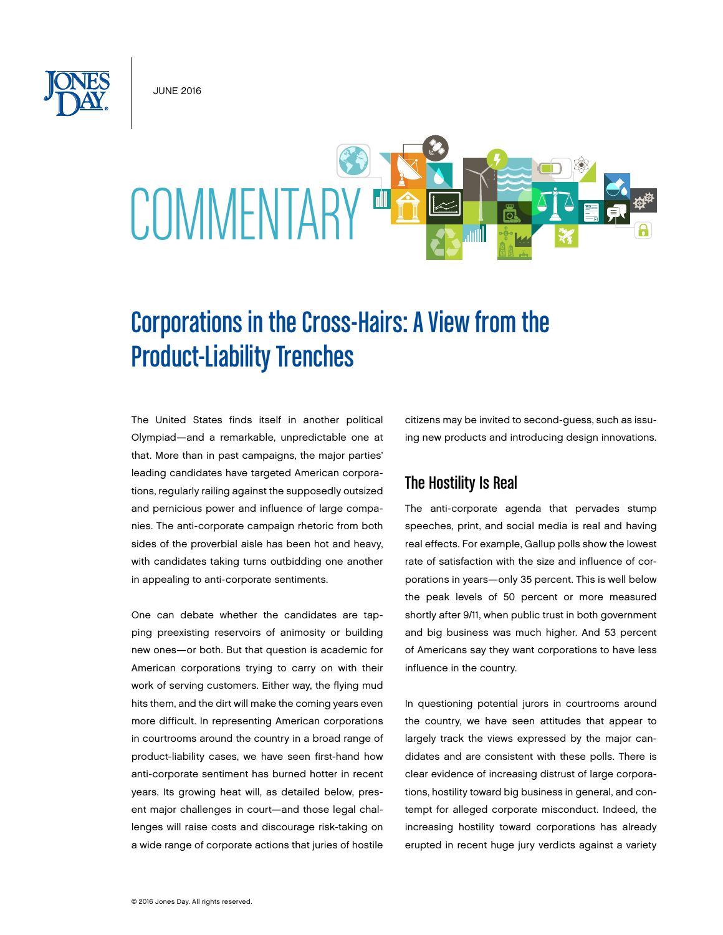June 2016



# Corporations in the Cross-Hairs: A View from the Product-Liability Trenches

The United States finds itself in another political Olympiad—and a remarkable, unpredictable one at that. More than in past campaigns, the major parties' leading candidates have targeted American corporations, regularly railing against the supposedly outsized and pernicious power and influence of large companies. The anti-corporate campaign rhetoric from both sides of the proverbial aisle has been hot and heavy, with candidates taking turns outbidding one another in appealing to anti-corporate sentiments.

One can debate whether the candidates are tapping preexisting reservoirs of animosity or building new ones—or both. But that question is academic for American corporations trying to carry on with their work of serving customers. Either way, the flying mud hits them, and the dirt will make the coming years even more difficult. In representing American corporations in courtrooms around the country in a broad range of product-liability cases, we have seen first-hand how anti-corporate sentiment has burned hotter in recent years. Its growing heat will, as detailed below, present major challenges in court—and those legal challenges will raise costs and discourage risk-taking on a wide range of corporate actions that juries of hostile

citizens may be invited to second-guess, such as issuing new products and introducing design innovations.

# The Hostility Is Real

The anti-corporate agenda that pervades stump speeches, print, and social media is real and having real effects. For example, Gallup polls show the lowest rate of satisfaction with the size and influence of corporations in years—only 35 percent. This is well below the peak levels of 50 percent or more measured shortly after 9/11, when public trust in both government and big business was much higher. And 53 percent of Americans say they want corporations to have less influence in the country.

In questioning potential jurors in courtrooms around the country, we have seen attitudes that appear to largely track the views expressed by the major candidates and are consistent with these polls. There is clear evidence of increasing distrust of large corporations, hostility toward big business in general, and contempt for alleged corporate misconduct. Indeed, the increasing hostility toward corporations has already erupted in recent huge jury verdicts against a variety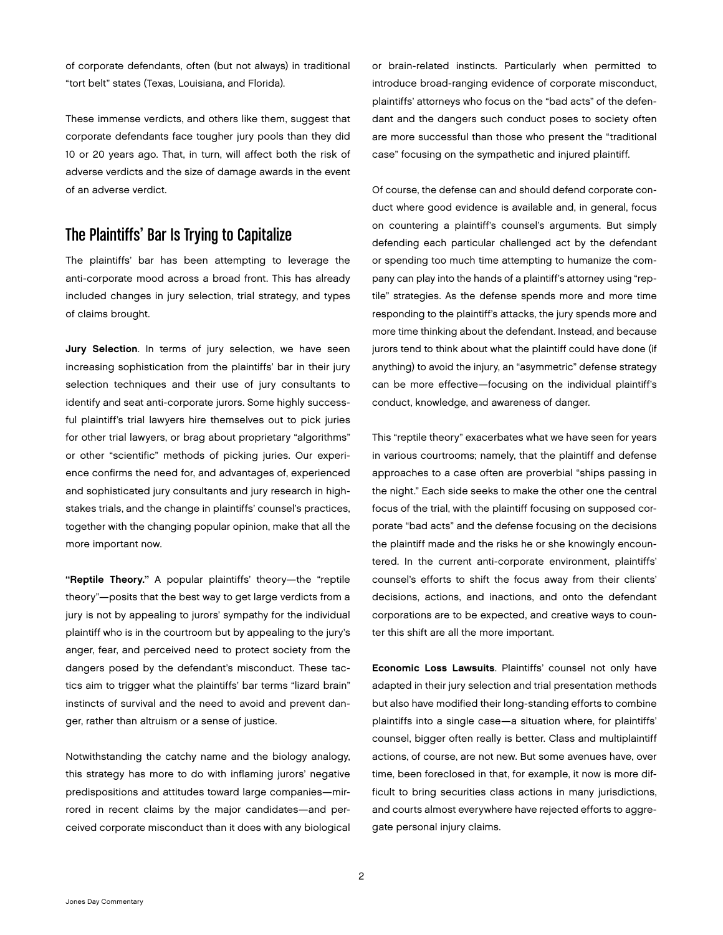of corporate defendants, often (but not always) in traditional "tort belt" states (Texas, Louisiana, and Florida).

These immense verdicts, and others like them, suggest that corporate defendants face tougher jury pools than they did 10 or 20 years ago. That, in turn, will affect both the risk of adverse verdicts and the size of damage awards in the event of an adverse verdict.

## The Plaintiffs' Bar Is Trying to Capitalize

The plaintiffs' bar has been attempting to leverage the anti-corporate mood across a broad front. This has already included changes in jury selection, trial strategy, and types of claims brought.

Jury Selection. In terms of jury selection, we have seen increasing sophistication from the plaintiffs' bar in their jury selection techniques and their use of jury consultants to identify and seat anti-corporate jurors. Some highly successful plaintiff's trial lawyers hire themselves out to pick juries for other trial lawyers, or brag about proprietary "algorithms" or other "scientific" methods of picking juries. Our experience confirms the need for, and advantages of, experienced and sophisticated jury consultants and jury research in highstakes trials, and the change in plaintiffs' counsel's practices, together with the changing popular opinion, make that all the more important now.

"Reptile Theory." A popular plaintiffs' theory—the "reptile theory"—posits that the best way to get large verdicts from a jury is not by appealing to jurors' sympathy for the individual plaintiff who is in the courtroom but by appealing to the jury's anger, fear, and perceived need to protect society from the dangers posed by the defendant's misconduct. These tactics aim to trigger what the plaintiffs' bar terms "lizard brain" instincts of survival and the need to avoid and prevent danger, rather than altruism or a sense of justice.

Notwithstanding the catchy name and the biology analogy, this strategy has more to do with inflaming jurors' negative predispositions and attitudes toward large companies—mirrored in recent claims by the major candidates—and perceived corporate misconduct than it does with any biological

or brain-related instincts. Particularly when permitted to introduce broad-ranging evidence of corporate misconduct, plaintiffs' attorneys who focus on the "bad acts" of the defendant and the dangers such conduct poses to society often are more successful than those who present the "traditional case" focusing on the sympathetic and injured plaintiff.

Of course, the defense can and should defend corporate conduct where good evidence is available and, in general, focus on countering a plaintiff's counsel's arguments. But simply defending each particular challenged act by the defendant or spending too much time attempting to humanize the company can play into the hands of a plaintiff's attorney using "reptile" strategies. As the defense spends more and more time responding to the plaintiff's attacks, the jury spends more and more time thinking about the defendant. Instead, and because jurors tend to think about what the plaintiff could have done (if anything) to avoid the injury, an "asymmetric" defense strategy can be more effective—focusing on the individual plaintiff's conduct, knowledge, and awareness of danger.

This "reptile theory" exacerbates what we have seen for years in various courtrooms; namely, that the plaintiff and defense approaches to a case often are proverbial "ships passing in the night." Each side seeks to make the other one the central focus of the trial, with the plaintiff focusing on supposed corporate "bad acts" and the defense focusing on the decisions the plaintiff made and the risks he or she knowingly encountered. In the current anti-corporate environment, plaintiffs' counsel's efforts to shift the focus away from their clients' decisions, actions, and inactions, and onto the defendant corporations are to be expected, and creative ways to counter this shift are all the more important.

Economic Loss Lawsuits. Plaintiffs' counsel not only have adapted in their jury selection and trial presentation methods but also have modified their long-standing efforts to combine plaintiffs into a single case—a situation where, for plaintiffs' counsel, bigger often really is better. Class and multiplaintiff actions, of course, are not new. But some avenues have, over time, been foreclosed in that, for example, it now is more difficult to bring securities class actions in many jurisdictions, and courts almost everywhere have rejected efforts to aggregate personal injury claims.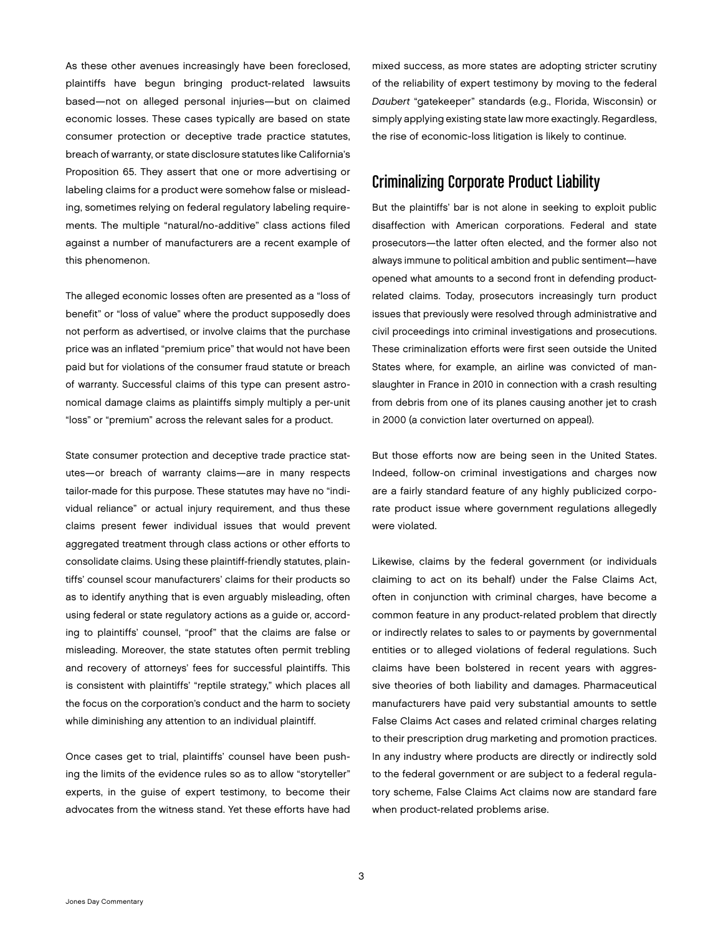As these other avenues increasingly have been foreclosed, plaintiffs have begun bringing product-related lawsuits based—not on alleged personal injuries—but on claimed economic losses. These cases typically are based on state consumer protection or deceptive trade practice statutes, breach of warranty, or state disclosure statutes like California's Proposition 65. They assert that one or more advertising or labeling claims for a product were somehow false or misleading, sometimes relying on federal regulatory labeling requirements. The multiple "natural/no-additive" class actions filed against a number of manufacturers are a recent example of this phenomenon.

The alleged economic losses often are presented as a "loss of benefit" or "loss of value" where the product supposedly does not perform as advertised, or involve claims that the purchase price was an inflated "premium price" that would not have been paid but for violations of the consumer fraud statute or breach of warranty. Successful claims of this type can present astronomical damage claims as plaintiffs simply multiply a per-unit "loss" or "premium" across the relevant sales for a product.

State consumer protection and deceptive trade practice statutes—or breach of warranty claims—are in many respects tailor-made for this purpose. These statutes may have no "individual reliance" or actual injury requirement, and thus these claims present fewer individual issues that would prevent aggregated treatment through class actions or other efforts to consolidate claims. Using these plaintiff-friendly statutes, plaintiffs' counsel scour manufacturers' claims for their products so as to identify anything that is even arguably misleading, often using federal or state regulatory actions as a guide or, according to plaintiffs' counsel, "proof" that the claims are false or misleading. Moreover, the state statutes often permit trebling and recovery of attorneys' fees for successful plaintiffs. This is consistent with plaintiffs' "reptile strategy," which places all the focus on the corporation's conduct and the harm to society while diminishing any attention to an individual plaintiff.

Once cases get to trial, plaintiffs' counsel have been pushing the limits of the evidence rules so as to allow "storyteller" experts, in the guise of expert testimony, to become their advocates from the witness stand. Yet these efforts have had

mixed success, as more states are adopting stricter scrutiny of the reliability of expert testimony by moving to the federal *Daubert* "gatekeeper" standards (e.g., Florida, Wisconsin) or simply applying existing state law more exactingly. Regardless, the rise of economic-loss litigation is likely to continue.

### Criminalizing Corporate Product Liability

But the plaintiffs' bar is not alone in seeking to exploit public disaffection with American corporations. Federal and state prosecutors—the latter often elected, and the former also not always immune to political ambition and public sentiment—have opened what amounts to a second front in defending productrelated claims. Today, prosecutors increasingly turn product issues that previously were resolved through administrative and civil proceedings into criminal investigations and prosecutions. These criminalization efforts were first seen outside the United States where, for example, an airline was convicted of manslaughter in France in 2010 in connection with a crash resulting from debris from one of its planes causing another jet to crash in 2000 (a conviction later overturned on appeal).

But those efforts now are being seen in the United States. Indeed, follow-on criminal investigations and charges now are a fairly standard feature of any highly publicized corporate product issue where government regulations allegedly were violated.

Likewise, claims by the federal government (or individuals claiming to act on its behalf) under the False Claims Act, often in conjunction with criminal charges, have become a common feature in any product-related problem that directly or indirectly relates to sales to or payments by governmental entities or to alleged violations of federal regulations. Such claims have been bolstered in recent years with aggressive theories of both liability and damages. Pharmaceutical manufacturers have paid very substantial amounts to settle False Claims Act cases and related criminal charges relating to their prescription drug marketing and promotion practices. In any industry where products are directly or indirectly sold to the federal government or are subject to a federal regulatory scheme, False Claims Act claims now are standard fare when product-related problems arise.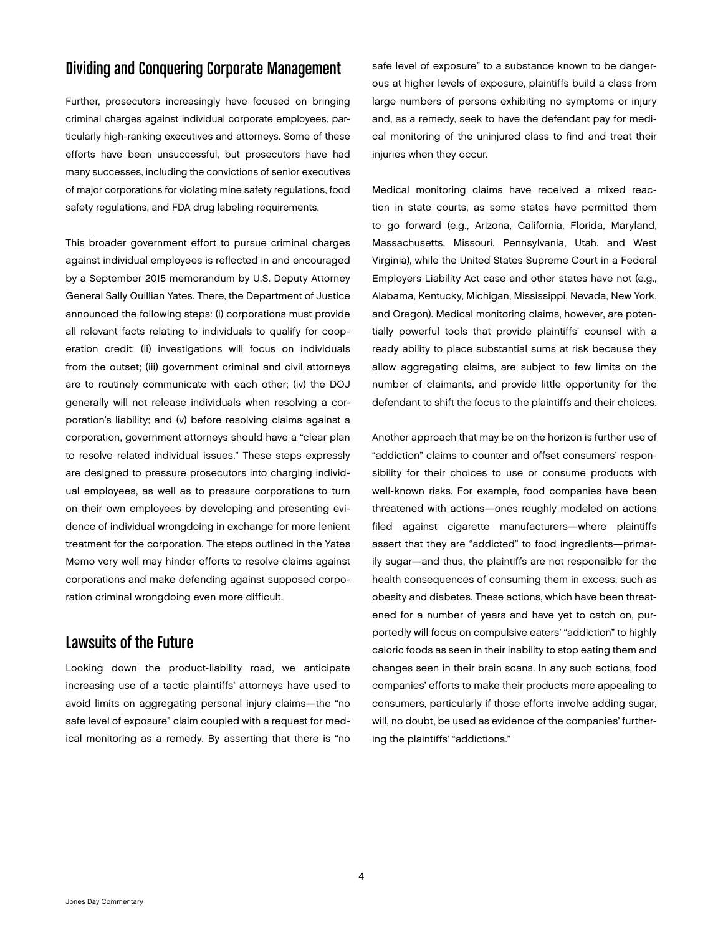### Dividing and Conquering Corporate Management

Further, prosecutors increasingly have focused on bringing criminal charges against individual corporate employees, particularly high-ranking executives and attorneys. Some of these efforts have been unsuccessful, but prosecutors have had many successes, including the convictions of senior executives of major corporations for violating mine safety regulations, food safety regulations, and FDA drug labeling requirements.

This broader government effort to pursue criminal charges against individual employees is reflected in and encouraged by a September 2015 memorandum by U.S. Deputy Attorney General Sally Quillian Yates. There, the Department of Justice announced the following steps: (i) corporations must provide all relevant facts relating to individuals to qualify for cooperation credit; (ii) investigations will focus on individuals from the outset; (iii) government criminal and civil attorneys are to routinely communicate with each other; (iv) the DOJ generally will not release individuals when resolving a corporation's liability; and (v) before resolving claims against a corporation, government attorneys should have a "clear plan to resolve related individual issues." These steps expressly are designed to pressure prosecutors into charging individual employees, as well as to pressure corporations to turn on their own employees by developing and presenting evidence of individual wrongdoing in exchange for more lenient treatment for the corporation. The steps outlined in the Yates Memo very well may hinder efforts to resolve claims against corporations and make defending against supposed corporation criminal wrongdoing even more difficult.

#### Lawsuits of the Future

Looking down the product-liability road, we anticipate increasing use of a tactic plaintiffs' attorneys have used to avoid limits on aggregating personal injury claims—the "no safe level of exposure" claim coupled with a request for medical monitoring as a remedy. By asserting that there is "no

safe level of exposure" to a substance known to be dangerous at higher levels of exposure, plaintiffs build a class from large numbers of persons exhibiting no symptoms or injury and, as a remedy, seek to have the defendant pay for medical monitoring of the uninjured class to find and treat their injuries when they occur.

Medical monitoring claims have received a mixed reaction in state courts, as some states have permitted them to go forward (e.g., Arizona, California, Florida, Maryland, Massachusetts, Missouri, Pennsylvania, Utah, and West Virginia), while the United States Supreme Court in a Federal Employers Liability Act case and other states have not (e.g., Alabama, Kentucky, Michigan, Mississippi, Nevada, New York, and Oregon). Medical monitoring claims, however, are potentially powerful tools that provide plaintiffs' counsel with a ready ability to place substantial sums at risk because they allow aggregating claims, are subject to few limits on the number of claimants, and provide little opportunity for the defendant to shift the focus to the plaintiffs and their choices.

Another approach that may be on the horizon is further use of "addiction" claims to counter and offset consumers' responsibility for their choices to use or consume products with well-known risks. For example, food companies have been threatened with actions—ones roughly modeled on actions filed against cigarette manufacturers—where plaintiffs assert that they are "addicted" to food ingredients—primarily sugar—and thus, the plaintiffs are not responsible for the health consequences of consuming them in excess, such as obesity and diabetes. These actions, which have been threatened for a number of years and have yet to catch on, purportedly will focus on compulsive eaters' "addiction" to highly caloric foods as seen in their inability to stop eating them and changes seen in their brain scans. In any such actions, food companies' efforts to make their products more appealing to consumers, particularly if those efforts involve adding sugar, will, no doubt, be used as evidence of the companies' furthering the plaintiffs' "addictions."